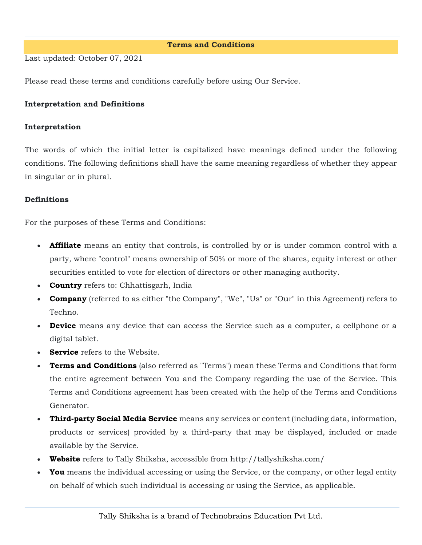#### **Terms and Conditions**

Last updated: October 07, 2021

Please read these terms and conditions carefully before using Our Service.

### **Interpretation and Definitions**

#### **Interpretation**

The words of which the initial letter is capitalized have meanings defined under the following conditions. The following definitions shall have the same meaning regardless of whether they appear in singular or in plural.

### **Definitions**

For the purposes of these Terms and Conditions:

- **Affiliate** means an entity that controls, is controlled by or is under common control with a party, where "control" means ownership of 50% or more of the shares, equity interest or other securities entitled to vote for election of directors or other managing authority.
- **Country** refers to: Chhattisgarh, India
- **Company** (referred to as either "the Company", "We", "Us" or "Our" in this Agreement) refers to Techno.
- **Device** means any device that can access the Service such as a computer, a cellphone or a digital tablet.
- **Service** refers to the Website.
- **Terms and Conditions** (also referred as "Terms") mean these Terms and Conditions that form the entire agreement between You and the Company regarding the use of the Service. This Terms and Conditions agreement has been created with the help of the [Terms and Conditions](https://www.termsfeed.com/terms-conditions-generator/)  [Generator.](https://www.termsfeed.com/terms-conditions-generator/)
- **Third-party Social Media Service** means any services or content (including data, information, products or services) provided by a third-party that may be displayed, included or made available by the Service.
- **Website** refers to Tally Shiksha, accessible from <http://tallyshiksha.com/>
- **You** means the individual accessing or using the Service, or the company, or other legal entity on behalf of which such individual is accessing or using the Service, as applicable.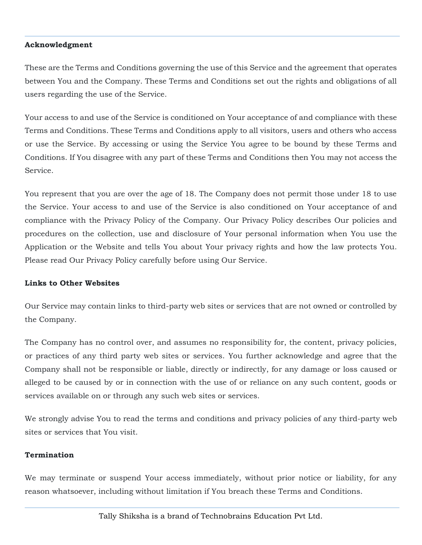### **Acknowledgment**

These are the Terms and Conditions governing the use of this Service and the agreement that operates between You and the Company. These Terms and Conditions set out the rights and obligations of all users regarding the use of the Service.

Your access to and use of the Service is conditioned on Your acceptance of and compliance with these Terms and Conditions. These Terms and Conditions apply to all visitors, users and others who access or use the Service. By accessing or using the Service You agree to be bound by these Terms and Conditions. If You disagree with any part of these Terms and Conditions then You may not access the Service.

You represent that you are over the age of 18. The Company does not permit those under 18 to use the Service. Your access to and use of the Service is also conditioned on Your acceptance of and compliance with the Privacy Policy of the Company. Our Privacy Policy describes Our policies and procedures on the collection, use and disclosure of Your personal information when You use the Application or the Website and tells You about Your privacy rights and how the law protects You. Please read Our Privacy Policy carefully before using Our Service.

#### **Links to Other Websites**

Our Service may contain links to third-party web sites or services that are not owned or controlled by the Company.

The Company has no control over, and assumes no responsibility for, the content, privacy policies, or practices of any third party web sites or services. You further acknowledge and agree that the Company shall not be responsible or liable, directly or indirectly, for any damage or loss caused or alleged to be caused by or in connection with the use of or reliance on any such content, goods or services available on or through any such web sites or services.

We strongly advise You to read the terms and conditions and privacy policies of any third-party web sites or services that You visit.

### **Termination**

We may terminate or suspend Your access immediately, without prior notice or liability, for any reason whatsoever, including without limitation if You breach these Terms and Conditions.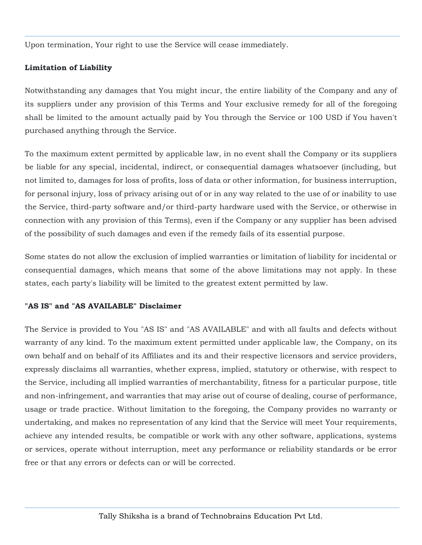Upon termination, Your right to use the Service will cease immediately.

# **Limitation of Liability**

Notwithstanding any damages that You might incur, the entire liability of the Company and any of its suppliers under any provision of this Terms and Your exclusive remedy for all of the foregoing shall be limited to the amount actually paid by You through the Service or 100 USD if You haven't purchased anything through the Service.

To the maximum extent permitted by applicable law, in no event shall the Company or its suppliers be liable for any special, incidental, indirect, or consequential damages whatsoever (including, but not limited to, damages for loss of profits, loss of data or other information, for business interruption, for personal injury, loss of privacy arising out of or in any way related to the use of or inability to use the Service, third-party software and/or third-party hardware used with the Service, or otherwise in connection with any provision of this Terms), even if the Company or any supplier has been advised of the possibility of such damages and even if the remedy fails of its essential purpose.

Some states do not allow the exclusion of implied warranties or limitation of liability for incidental or consequential damages, which means that some of the above limitations may not apply. In these states, each party's liability will be limited to the greatest extent permitted by law.

# **"AS IS" and "AS AVAILABLE" Disclaimer**

The Service is provided to You "AS IS" and "AS AVAILABLE" and with all faults and defects without warranty of any kind. To the maximum extent permitted under applicable law, the Company, on its own behalf and on behalf of its Affiliates and its and their respective licensors and service providers, expressly disclaims all warranties, whether express, implied, statutory or otherwise, with respect to the Service, including all implied warranties of merchantability, fitness for a particular purpose, title and non-infringement, and warranties that may arise out of course of dealing, course of performance, usage or trade practice. Without limitation to the foregoing, the Company provides no warranty or undertaking, and makes no representation of any kind that the Service will meet Your requirements, achieve any intended results, be compatible or work with any other software, applications, systems or services, operate without interruption, meet any performance or reliability standards or be error free or that any errors or defects can or will be corrected.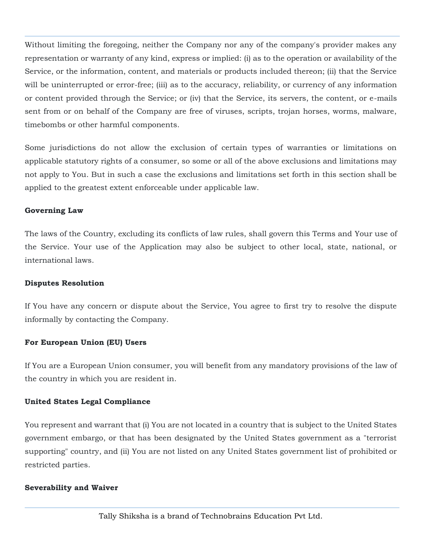Without limiting the foregoing, neither the Company nor any of the company's provider makes any representation or warranty of any kind, express or implied: (i) as to the operation or availability of the Service, or the information, content, and materials or products included thereon; (ii) that the Service will be uninterrupted or error-free; (iii) as to the accuracy, reliability, or currency of any information or content provided through the Service; or (iv) that the Service, its servers, the content, or e-mails sent from or on behalf of the Company are free of viruses, scripts, trojan horses, worms, malware, timebombs or other harmful components.

Some jurisdictions do not allow the exclusion of certain types of warranties or limitations on applicable statutory rights of a consumer, so some or all of the above exclusions and limitations may not apply to You. But in such a case the exclusions and limitations set forth in this section shall be applied to the greatest extent enforceable under applicable law.

### **Governing Law**

The laws of the Country, excluding its conflicts of law rules, shall govern this Terms and Your use of the Service. Your use of the Application may also be subject to other local, state, national, or international laws.

### **Disputes Resolution**

If You have any concern or dispute about the Service, You agree to first try to resolve the dispute informally by contacting the Company.

# **For European Union (EU) Users**

If You are a European Union consumer, you will benefit from any mandatory provisions of the law of the country in which you are resident in.

# **United States Legal Compliance**

You represent and warrant that (i) You are not located in a country that is subject to the United States government embargo, or that has been designated by the United States government as a "terrorist supporting" country, and (ii) You are not listed on any United States government list of prohibited or restricted parties.

### **Severability and Waiver**